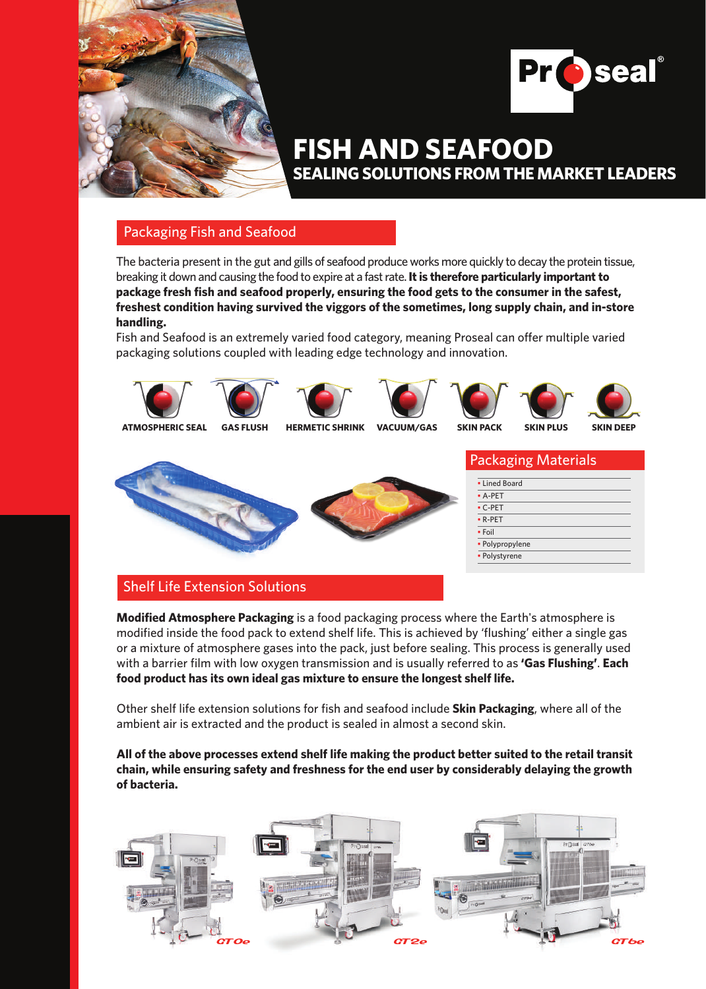



# **SEALING SOLUTIONS FROM THE MARKET LEADERS FISH AND SEAFOOD**

# Packaging Fish and Seafood

The bacteria present in the gut and gills of seafood produce works more quickly to decay the protein tissue, breaking it down and causing the food to expire at a fast rate. **It is therefore particularly important to package fresh fish and seafood properly, ensuring the food gets to the consumer in the safest, freshest condition having survived the viggors of the sometimes, long supply chain, and in-store handling.**

Fish and Seafood is an extremely varied food category, meaning Proseal can offer multiple varied packaging solutions coupled with leading edge technology and innovation.





















|  | <b>Packaging Materials</b> |
|--|----------------------------|
|  |                            |

| • Lined Board   |  |
|-----------------|--|
| $-$ A-PET       |  |
| $\cdot$ C-PET   |  |
| $\cdot$ R-PET   |  |
| • Foil          |  |
| • Polypropylene |  |
| • Polystyrene   |  |

# Shelf Life Extension Solutions

**Modified Atmosphere Packaging** is a food packaging process where the Earth's atmosphere is modified inside the food pack to extend shelf life. This is achieved by 'flushing' either a single gas or a mixture of atmosphere gases into the pack, just before sealing. This process is generally used with a barrier film with low oxygen transmission and is usually referred to as **'Gas Flushing'**. **Each food product has its own ideal gas mixture to ensure the longest shelf life.** 

Other shelf life extension solutions for fish and seafood include **Skin Packaging**, where all of the ambient air is extracted and the product is sealed in almost a second skin.

**All of the above processes extend shelf life making the product better suited to the retail transit chain, while ensuring safety and freshness for the end user by considerably delaying the growth of bacteria.**